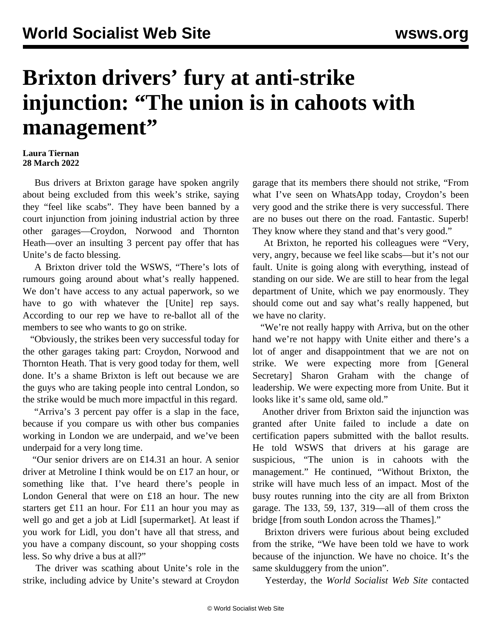## **Brixton drivers' fury at anti-strike injunction: "The union is in cahoots with management"**

## **Laura Tiernan 28 March 2022**

 Bus drivers at Brixton garage have spoken angrily about being excluded from this week's strike, saying they "feel like scabs". They have been banned by a court injunction from joining industrial action by three other garages—Croydon, Norwood and Thornton Heath—over an [insulting 3 percent pay offer](/en/articles/2022/03/28/higm-m28.html) that has Unite's de facto blessing.

 A Brixton driver told the WSWS, "There's lots of rumours going around about what's really happened. We don't have access to any actual paperwork, so we have to go with whatever the [Unite] rep says. According to our rep we have to re-ballot all of the members to see who wants to go on strike.

 "Obviously, the strikes been very successful today for the other garages taking part: Croydon, Norwood and Thornton Heath. That is very good today for them, well done. It's a shame Brixton is left out because we are the guys who are taking people into central London, so the strike would be much more impactful in this regard.

 "Arriva's 3 percent pay offer is a slap in the face, because if you compare us with other bus companies working in London we are underpaid, and we've been underpaid for a very long time.

 "Our senior drivers are on £14.31 an hour. A senior driver at Metroline I think would be on £17 an hour, or something like that. I've heard there's people in London General that were on £18 an hour. The new starters get £11 an hour. For £11 an hour you may as well go and get a job at Lidl [supermarket]. At least if you work for Lidl, you don't have all that stress, and you have a company discount, so your shopping costs less. So why drive a bus at all?"

 The driver was scathing about Unite's role in the strike, including advice by Unite's steward at Croydon garage that its members there should not strike, "From what I've seen on WhatsApp today, Croydon's been very good and the strike there is very successful. There are no buses out there on the road. Fantastic. Superb! They know where they stand and that's very good."

 At Brixton, he reported his colleagues were "Very, very, angry, because we feel like scabs—but it's not our fault. Unite is going along with everything, instead of standing on our side. We are still to hear from the legal department of Unite, which we pay enormously. They should come out and say what's really happened, but we have no clarity.

"We're not really happy with Arriva, but on the other hand we're not happy with Unite either and there's a lot of anger and disappointment that we are not on strike. We were expecting more from [General Secretary] Sharon Graham with the change of leadership. We were expecting more from Unite. But it looks like it's same old, same old."

 Another driver from Brixton said the injunction was granted after Unite failed to include a date on certification papers submitted with the ballot results. He told WSWS that drivers at his garage are suspicious, "The union is in cahoots with the management." He continued, "Without Brixton, the strike will have much less of an impact. Most of the busy routes running into the city are all from Brixton garage. The 133, 59, 137, 319—all of them cross the bridge [from south London across the Thames]."

 Brixton drivers were furious about being excluded from the strike, "We have been told we have to work because of the injunction. We have no choice. It's the same skulduggery from the union".

Yesterday, the *World Socialist Web Site* contacted